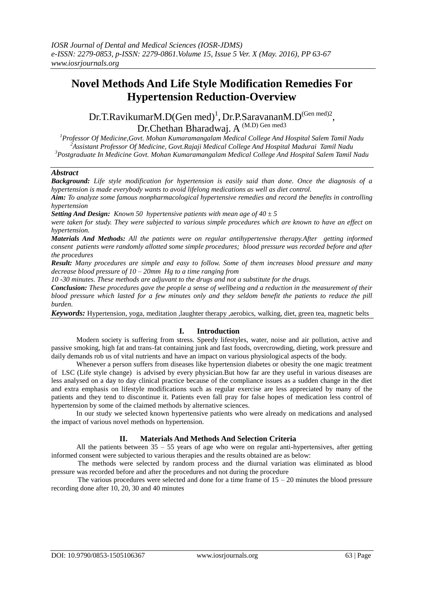# **Novel Methods And Life Style Modification Remedies For Hypertension Reduction-Overview**

Dr.T.RavikumarM.D(Gen med)<sup>1</sup>, Dr.P.SaravananM.D<sup>(Gen med)2</sup>, Dr.Chethan Bharadwaj. A <sup>(M.D) Gen med3</sup>

*<sup>1</sup>Professor Of Medicine,Govt. Mohan Kumaramangalam Medical College And Hospital Salem Tamil Nadu <sup>2</sup>Assistant Professor Of Medicine, Govt.Rajaji Medical College And Hospital Madurai Tamil Nadu <sup>3</sup>Postgraduate In Medicine Govt. Mohan Kumaramangalam Medical College And Hospital Salem Tamil Nadu*

## *Abstract*

*Background: Life style modification for hypertension is easily said than done. Once the diagnosis of a hypertension is made everybody wants to avoid lifelong medications as well as diet control.*

*Aim: To analyze some famous nonpharmacological hypertensive remedies and record the benefits in controlling hypertension*

*Setting And Design: Known 50 hypertensive patients with mean age of 40 ± 5*

*were taken for study. They were subjected to various simple procedures which are known to have an effect on hypertension.*

*Materials And Methods: All the patients were on regular antihypertensive therapy.After getting informed consent patients were randomly allotted some simple procedures; blood pressure was recorded before and after the procedures*

*Result: Many procedures are simple and easy to follow. Some of them increases blood pressure and many decrease blood pressure of 10 – 20mm Hg to a time ranging from*

*10 -30 minutes. These methods are adjuvant to the drugs and not a substitute for the drugs.*

*Conclusion: These procedures gave the people a sense of wellbeing and a reduction in the measurement of their blood pressure which lasted for a few minutes only and they seldom benefit the patients to reduce the pill burden.*

*Keywords:* Hypertension, yoga, meditation ,laughter therapy ,aerobics, walking, diet, green tea, magnetic belts

## **I. Introduction**

Modern society is suffering from stress. Speedy lifestyles, water, noise and air pollution, active and passive smoking, high fat and trans-fat containing junk and fast foods, overcrowding, dieting, work pressure and daily demands rob us of vital nutrients and have an impact on various physiological aspects of the body.

Whenever a person suffers from diseases like hypertension diabetes or obesity the one magic treatment of LSC (Life style change) is advised by every physician.But how far are they useful in various diseases are less analysed on a day to day clinical practice because of the compliance issues as a sudden change in the diet and extra emphasis on lifestyle modifications such as regular exercise are less appreciated by many of the patients and they tend to discontinue it. Patients even fall pray for false hopes of medication less control of hypertension by some of the claimed methods by alternative sciences.

In our study we selected known hypertensive patients who were already on medications and analysed the impact of various novel methods on hypertension.

## **II. Materials And Methods And Selection Criteria**

All the patients between  $35 - 55$  years of age who were on regular anti-hypertensives, after getting informed consent were subjected to various therapies and the results obtained are as below:

 The methods were selected by random process and the diurnal variation was eliminated as blood pressure was recorded before and after the procedures and not during the procedure

The various procedures were selected and done for a time frame of  $15 - 20$  minutes the blood pressure recording done after 10, 20, 30 and 40 minutes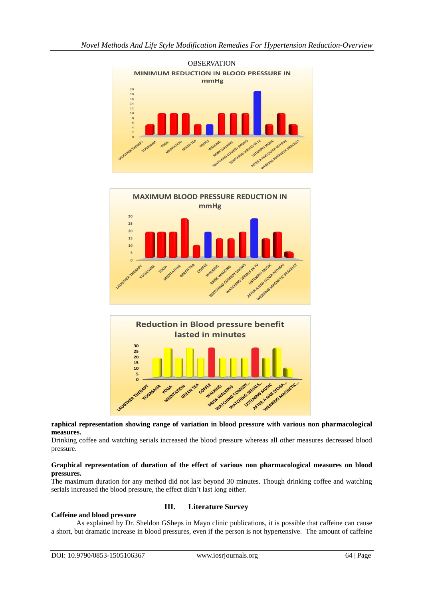

## **raphical representation showing range of variation in blood pressure with various non pharmacological measures.**

Drinking coffee and watching serials increased the blood pressure whereas all other measures decreased blood pressure.

## **Graphical representation of duration of the effect of various non pharmacological measures on blood pressures.**

The maximum duration for any method did not last beyond 30 minutes. Though drinking coffee and watching serials increased the blood pressure, the effect didn't last long either.

## **Caffeine and blood pressure**

## **III. Literature Survey**

As explained by Dr. Sheldon GSheps in Mayo clinic publications, it is possible that caffeine can cause a short, but dramatic increase in blood pressures, even if the person is not hypertensive. The amount of caffeine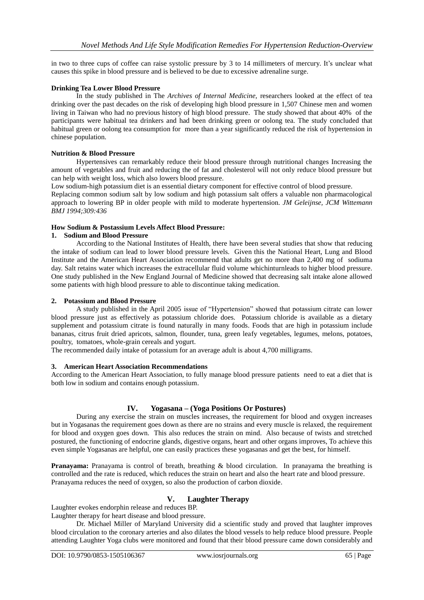in two to three cups of coffee can raise systolic pressure by 3 to 14 millimeters of mercury. It's unclear what causes this spike in blood pressure and is believed to be due to excessive adrenaline surge.

## **Drinking Tea Lower Blood Pressure**

In the study published in The *Archives of Internal Medicine,* researchers looked at the effect of tea drinking over the past decades on the risk of developing high blood pressure in 1,507 Chinese men and women living in Taiwan who had no previous history of high blood pressure. The study showed that about 40% of the participants were habitual tea drinkers and had been drinking green or oolong tea. The study concluded that habitual green or oolong tea consumption for more than a year significantly reduced the risk of hypertension in chinese population.

## **Nutrition & Blood Pressure**

Hypertensives can remarkably reduce their blood pressure through nutritional changes Increasing the amount of vegetables and fruit and reducing the of fat and cholesterol will not only reduce blood pressure but can help with weight loss, which also lowers blood pressure.

Low sodium-high potassium diet is an essential dietary component for effective control of blood pressure.

Replacing common sodium salt by low sodium and high potassium salt offers a valuable non pharmacological approach to lowering BP in older people with mild to moderate hypertension. *JM Geleijnse, JCM Wittemann BMJ 1994;309:436*

## **How Sodium & Postassium Levels Affect Blood Pressure:**

## **1. Sodium and Blood Pressure**

According to the National Institutes of Health, there have been several studies that show that reducing the intake of sodium can lead to lower blood pressure levels. Given this the National Heart, Lung and Blood Institute and the American Heart Association recommend that adults get no more than 2,400 mg of sodiuma day. Salt retains water which increases the extracellular fluid volume whichinturnleads to higher blood pressure. One study published in the New England Journal of Medicine showed that decreasing salt intake alone allowed some patients with high blood pressure to able to discontinue taking medication.

## **2. Potassium and Blood Pressure**

A study published in the April 2005 issue of "Hypertension" showed that potassium citrate can lower blood pressure just as effectively as potassium chloride does. Potassium chloride is available as a dietary supplement and potassium citrate is found naturally in many foods. Foods that are high in potassium include bananas, citrus fruit dried apricots, salmon, flounder, tuna, green leafy vegetables, legumes, melons, potatoes, poultry, tomatoes, whole-grain cereals and yogurt.

The recommended daily intake of potassium for an average adult is about 4,700 milligrams.

## **3. American Heart Association Recommendations**

According to the American Heart Association, to fully manage blood pressure patients need to eat a diet that is both low in sodium and contains enough potassium.

## **IV. Yogasana – (Yoga Positions Or Postures)**

During any exercise the strain on muscles increases, the requirement for blood and oxygen increases but in Yogasanas the requirement goes down as there are no strains and every muscle is relaxed, the requirement for blood and oxygen goes down. This also reduces the strain on mind. Also because of twists and stretched postured, the functioning of endocrine glands, digestive organs, heart and other organs improves, To achieve this even simple Yogasanas are helpful, one can easily practices these yogasanas and get the best, for himself.

**Pranayama:** Pranayama is control of breath, breathing & blood circulation. In pranayama the breathing is controlled and the rate is reduced, which reduces the strain on heart and also the heart rate and blood pressure. Pranayama reduces the need of oxygen, so also the production of carbon dioxide.

## **V. Laughter Therapy**

Laughter evokes endorphin release and reduces BP.

Laughter therapy for heart disease and blood pressure.

Dr. Michael Miller of Maryland University did a scientific study and proved that laughter improves blood circulation to the coronary arteries and also dilates the blood vessels to help reduce blood pressure. People attending Laughter Yoga clubs were monitored and found that their blood pressure came down considerably and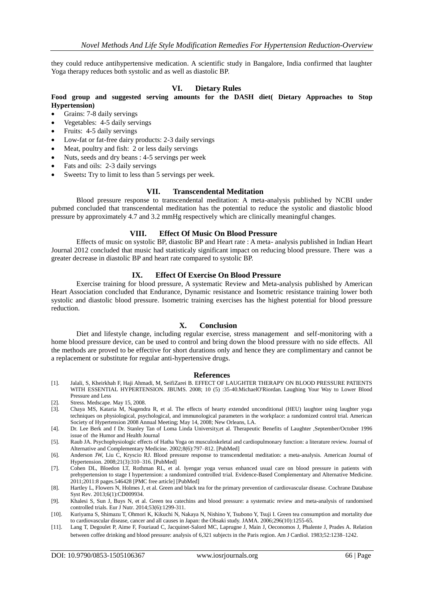they could reduce antihypertensive medication. A scientific study in Bangalore, India confirmed that laughter Yoga therapy reduces both systolic and as well as diastolic BP.

## **VI. Dietary Rules**

## **Food group and suggested serving amounts for the DASH diet( Dietary Approaches to Stop Hypertension)**

- Grains: 7-8 daily servings
- Vegetables: 4-5 daily servings
- Fruits: 4-5 daily servings
- Low-fat or fat-free dairy products: 2-3 daily servings
- Meat, poultry and fish: 2 or less daily servings
- Nuts, seeds and dry beans : 4-5 servings per week
- Fats and oils: 2-3 daily servings
- Sweets: Try to limit to less than 5 servings per week.

#### **VII. Transcendental Meditation**

Blood pressure response to transcendental meditation: A meta-analysis published by NCBI under pubmed concluded that transcendental meditation has the potential to reduce the systolic and diastolic blood pressure by approximately 4.7 and 3.2 mmHg respectively which are clinically meaningful changes.

#### **VIII. Effect Of Music On Blood Pressure**

Effects of music on systolic BP, diastolic BP and Heart rate : A meta- analysis published in Indian Heart Journal 2012 concluded that music had statisticaly significant impact on reducing blood pressure. There was a greater decrease in diastolic BP and heart rate compared to systolic BP.

## **IX. Effect Of Exercise On Blood Pressure**

Exercise training for blood pressure, A systematic Review and Meta-analysis published by American Heart Association concluded that Endurance, Dynamic resistance and Isometric resistance training lower both systolic and diastolic blood pressure. Isometric training exercises has the highest potential for blood pressure reduction.

## **X. Conclusion**

Diet and lifestyle change, including regular exercise, stress management and self-monitoring with a home blood pressure device, can be used to control and bring down the blood pressure with no side effects. All the methods are proved to be effective for short durations only and hence they are complimentary and cannot be a replacement or substitute for regular anti-hypertensive drugs.

#### **References**

- [1]. Jalali, S, Kheirkhah F, Haji Ahmadi, M, SeifiZarei B. EFFECT OF LAUGHTER THERAPY ON BLOOD PRESSURE PATIENTS WITH ESSENTIAL HYPERTENSION. JBUMS. 2008; 10 (5) :35-40.MichaelO'Riordan. Laughing Your Way to Lower Blood Pressure and Less
- [2]. Stress. Medscape. May 15, 2008.
- [3]. Chaya MS, Kataria M, Nagendra R, et al. The effects of hearty extended unconditional (HEU) laughter using laughter yoga techniques on physiological, psychological, and immunological parameters in the workplace: a randomized control trial. American Society of Hypertension 2008 Annual Meeting; May 14, 2008; New Orleans, LA.
- [4]. Dr. Lee Berk and f Dr. Stanley Tan of Loma Linda University,et al. Therapeutic Benefits of Laughter ,September/October 1996 issue of the Humor and Health Journal
- [5]. Raub JA. Psychophysiologic effects of Hatha Yoga on musculoskeletal and cardiopulmonary function: a literature review. Journal of Alternative and Complementary Medicine. 2002;8(6):797–812. [\[PubMed\]](http://www.ncbi.nlm.nih.gov/pubmed/12614533)
- [6]. Anderson JW, Liu C, Kryscio RJ. Blood pressure response to transcendental meditation: a meta-analysis. American Journal of Hypertension. 2008;21(3):310–316. [\[PubMed\]](http://www.ncbi.nlm.nih.gov/pubmed/18311126)
- [7]. Cohen DL, Bloedon LT, Rothman RL, et al. Iyengar yoga versus enhanced usual care on blood pressure in patients with prehypertension to stage I hypertension: a randomized controlled trial. Evidence-Based Complementary and Alternative Medicine. 2011;2011:8 pages.546428 [\[PMC free article\]](http://www.ncbi.nlm.nih.gov/pmc/articles/PMC3145370/) [\[PubMed\]](http://www.ncbi.nlm.nih.gov/pubmed/19734256)
- [8]. Hartley L, Flowers N, Holmes J, et al. Green and black tea for the primary prevention of cardiovascular disease. Cochrane Database Syst Rev. 2013;6(1):CD009934.
- [9]. Khalesi S, Sun J, Buys N, et al. Green tea catechins and blood pressure: a systematic review and meta-analysis of randomised controlled trials. Eur J Nutr. 2014;53(6):1299-311.
- [10]. Kuriyama S, Shimazu T, Ohmori K, Kikuchi N, Nakaya N, Nishino Y, Tsubono Y, Tsuji I. Green tea consumption and mortality due to cardiovascular disease, cancer and all causes in Japan: the Ohsaki study. JAMA. 2006;296(10):1255-65.
- [11]. Lang T, Degoulet P, Aime F, Fouriaud C, Jacquinet-Salord MC, Laprugne J, Main J, Oeconomos J, Phalente J, Prades A. Relation between coffee drinking and blood pressure: analysis of 6,321 subjects in the Paris region. Am J Cardiol. 1983;52:1238–1242.